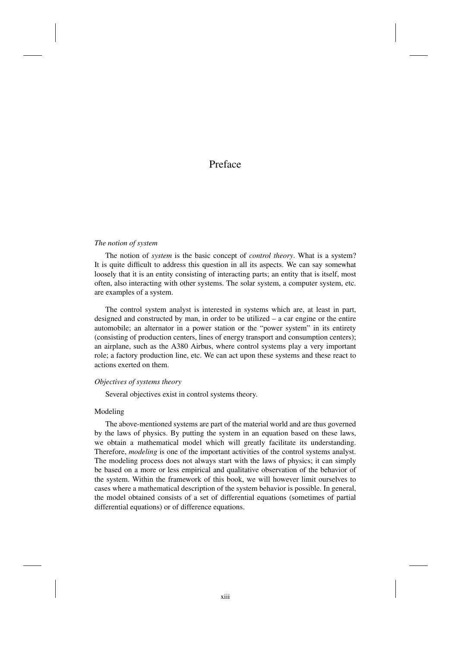# Preface

# *The notion of system*

The notion of *system* is the basic concept of *control theory*. What is a system? It is quite difficult to address this question in all its aspects. We can say somewhat loosely that it is an entity consisting of interacting parts; an entity that is itself, most often, also interacting with other systems. The solar system, a computer system, etc. are examples of a system.

The control system analyst is interested in systems which are, at least in part, designed and constructed by man, in order to be utilized – a car engine or the entire automobile; an alternator in a power station or the "power system" in its entirety (consisting of production centers, lines of energy transport and consumption centers); an airplane, such as the A380 Airbus, where control systems play a very important role; a factory production line, etc. We can act upon these systems and these react to actions exerted on them.

# *Objectives of systems theory*

Several objectives exist in control systems theory.

# Modeling

The above-mentioned systems are part of the material world and are thus governed by the laws of physics. By putting the system in an equation based on these laws, we obtain a mathematical model which will greatly facilitate its understanding. Therefore, *modeling* is one of the important activities of the control systems analyst. The modeling process does not always start with the laws of physics; it can simply be based on a more or less empirical and qualitative observation of the behavior of the system. Within the framework of this book, we will however limit ourselves to cases where a mathematical description of the system behavior is possible. In general, the model obtained consists of a set of differential equations (sometimes of partial differential equations) or of difference equations.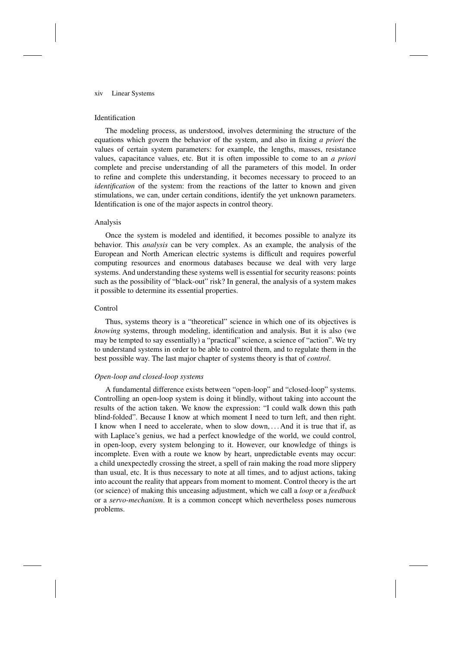#### xiv Linear Systems

### Identification

The modeling process, as understood, involves determining the structure of the equations which govern the behavior of the system, and also in fixing *a priori* the values of certain system parameters: for example, the lengths, masses, resistance values, capacitance values, etc. But it is often impossible to come to an *a priori* complete and precise understanding of all the parameters of this model. In order to refine and complete this understanding, it becomes necessary to proceed to an *identification* of the system: from the reactions of the latter to known and given stimulations, we can, under certain conditions, identify the yet unknown parameters. Identification is one of the major aspects in control theory.

# Analysis

Once the system is modeled and identified, it becomes possible to analyze its behavior. This *analysis* can be very complex. As an example, the analysis of the European and North American electric systems is difficult and requires powerful computing resources and enormous databases because we deal with very large systems. And understanding these systems well is essential for security reasons: points such as the possibility of "black-out" risk? In general, the analysis of a system makes it possible to determine its essential properties.

### Control

Thus, systems theory is a "theoretical" science in which one of its objectives is *knowing* systems, through modeling, identification and analysis. But it is also (we may be tempted to say essentially) a "practical" science, a science of "action". We try to understand systems in order to be able to control them, and to regulate them in the best possible way. The last major chapter of systems theory is that of *control*.

### *Open-loop and closed-loop systems*

A fundamental difference exists between "open-loop" and "closed-loop" systems. Controlling an open-loop system is doing it blindly, without taking into account the results of the action taken. We know the expression: "I could walk down this path blind-folded". Because I know at which moment I need to turn left, and then right. I know when I need to accelerate, when to slow down, . . . And it is true that if, as with Laplace's genius, we had a perfect knowledge of the world, we could control, in open-loop, every system belonging to it. However, our knowledge of things is incomplete. Even with a route we know by heart, unpredictable events may occur: a child unexpectedly crossing the street, a spell of rain making the road more slippery than usual, etc. It is thus necessary to note at all times, and to adjust actions, taking into account the reality that appears from moment to moment. Control theory is the art (or science) of making this unceasing adjustment, which we call a *loop* or a *feedback* or a *servo-mechanism*. It is a common concept which nevertheless poses numerous problems.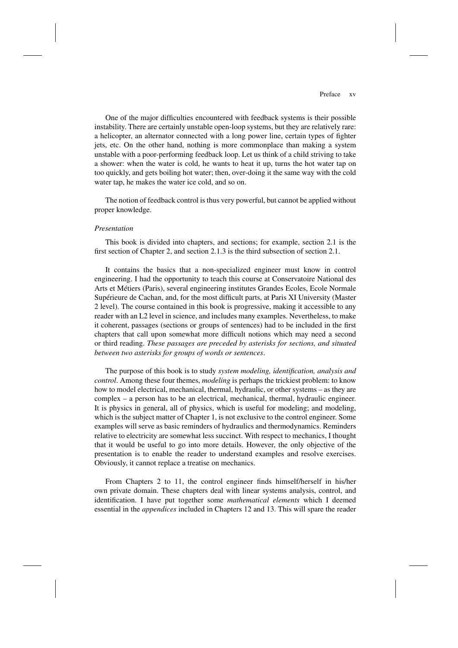#### Preface xv

One of the major difficulties encountered with feedback systems is their possible instability. There are certainly unstable open-loop systems, but they are relatively rare: a helicopter, an alternator connected with a long power line, certain types of fighter jets, etc. On the other hand, nothing is more commonplace than making a system unstable with a poor-performing feedback loop. Let us think of a child striving to take a shower: when the water is cold, he wants to heat it up, turns the hot water tap on too quickly, and gets boiling hot water; then, over-doing it the same way with the cold water tap, he makes the water ice cold, and so on.

The notion of feedback control is thus very powerful, but cannot be applied without proper knowledge.

#### *Presentation*

This book is divided into chapters, and sections; for example, section 2.1 is the first section of Chapter 2, and section 2.1.3 is the third subsection of section 2.1.

It contains the basics that a non-specialized engineer must know in control engineering. I had the opportunity to teach this course at Conservatoire National des Arts et Métiers (Paris), several engineering institutes Grandes Ecoles, Ecole Normale Supérieure de Cachan, and, for the most difficult parts, at Paris XI University (Master 2 level). The course contained in this book is progressive, making it accessible to any reader with an L2 level in science, and includes many examples. Nevertheless, to make it coherent, passages (sections or groups of sentences) had to be included in the first chapters that call upon somewhat more difficult notions which may need a second or third reading. *These passages are preceded by asterisks for sections, and situated between two asterisks for groups of words or sentences*.

The purpose of this book is to study *system modeling, identification, analysis and control*. Among these four themes, *modeling* is perhaps the trickiest problem: to know how to model electrical, mechanical, thermal, hydraulic, or other systems – as they are complex – a person has to be an electrical, mechanical, thermal, hydraulic engineer. It is physics in general, all of physics, which is useful for modeling; and modeling, which is the subject matter of Chapter 1, is not exclusive to the control engineer. Some examples will serve as basic reminders of hydraulics and thermodynamics. Reminders relative to electricity are somewhat less succinct. With respect to mechanics, I thought that it would be useful to go into more details. However, the only objective of the presentation is to enable the reader to understand examples and resolve exercises. Obviously, it cannot replace a treatise on mechanics.

From Chapters 2 to 11, the control engineer finds himself/herself in his/her own private domain. These chapters deal with linear systems analysis, control, and identification. I have put together some *mathematical elements* which I deemed essential in the *appendices* included in Chapters 12 and 13. This will spare the reader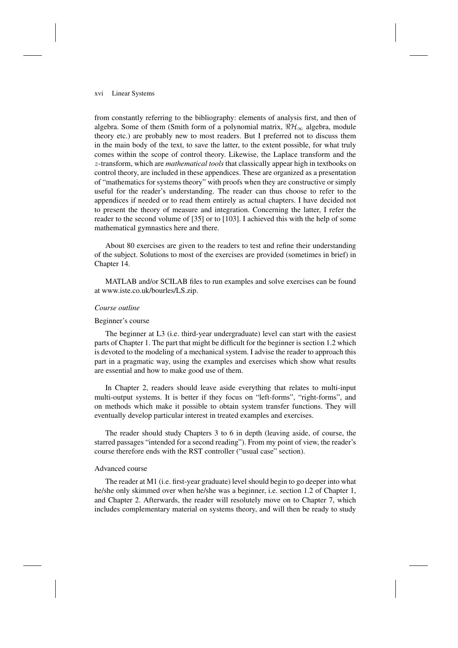#### xvi Linear Systems

from constantly referring to the bibliography: elements of analysis first, and then of algebra. Some of them (Smith form of a polynomial matrix,  $\Re{\cal H}_{\infty}$  algebra, module theory etc.) are probably new to most readers. But I preferred not to discuss them in the main body of the text, to save the latter, to the extent possible, for what truly comes within the scope of control theory. Likewise, the Laplace transform and the z-transform, which are *mathematical tools* that classically appear high in textbooks on control theory, are included in these appendices. These are organized as a presentation of "mathematics for systems theory" with proofs when they are constructive or simply useful for the reader's understanding. The reader can thus choose to refer to the appendices if needed or to read them entirely as actual chapters. I have decided not to present the theory of measure and integration. Concerning the latter, I refer the reader to the second volume of [35] or to [103]. I achieved this with the help of some mathematical gymnastics here and there.

About 80 exercises are given to the readers to test and refine their understanding of the subject. Solutions to most of the exercises are provided (sometimes in brief) in Chapter 14.

MATLAB and/or SCILAB files to run examples and solve exercises can be found at www.iste.co.uk/bourles/LS.zip.

#### *Course outline*

#### Beginner's course

The beginner at L3 (i.e. third-year undergraduate) level can start with the easiest parts of Chapter 1. The part that might be difficult for the beginner is section 1.2 which is devoted to the modeling of a mechanical system. I advise the reader to approach this part in a pragmatic way, using the examples and exercises which show what results are essential and how to make good use of them.

In Chapter 2, readers should leave aside everything that relates to multi-input multi-output systems. It is better if they focus on "left-forms", "right-forms", and on methods which make it possible to obtain system transfer functions. They will eventually develop particular interest in treated examples and exercises.

The reader should study Chapters 3 to 6 in depth (leaving aside, of course, the starred passages "intended for a second reading"). From my point of view, the reader's course therefore ends with the RST controller ("usual case" section).

# Advanced course

The reader at M1 (i.e. first-year graduate) level should begin to go deeper into what he/she only skimmed over when he/she was a beginner, i.e. section 1.2 of Chapter 1, and Chapter 2. Afterwards, the reader will resolutely move on to Chapter 7, which includes complementary material on systems theory, and will then be ready to study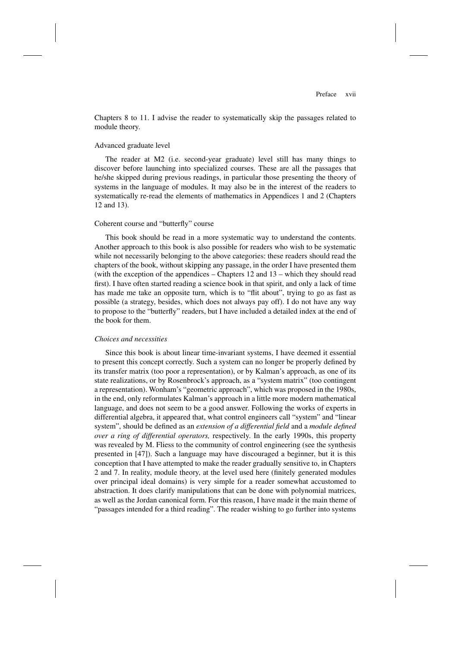Chapters 8 to 11. I advise the reader to systematically skip the passages related to module theory.

# Advanced graduate level

The reader at M2 (i.e. second-year graduate) level still has many things to discover before launching into specialized courses. These are all the passages that he/she skipped during previous readings, in particular those presenting the theory of systems in the language of modules. It may also be in the interest of the readers to systematically re-read the elements of mathematics in Appendices 1 and 2 (Chapters 12 and 13).

### Coherent course and "butterfly" course

This book should be read in a more systematic way to understand the contents. Another approach to this book is also possible for readers who wish to be systematic while not necessarily belonging to the above categories: these readers should read the chapters of the book, without skipping any passage, in the order I have presented them (with the exception of the appendices – Chapters 12 and 13 – which they should read first). I have often started reading a science book in that spirit, and only a lack of time has made me take an opposite turn, which is to "flit about", trying to go as fast as possible (a strategy, besides, which does not always pay off). I do not have any way to propose to the "butterfly" readers, but I have included a detailed index at the end of the book for them.

#### *Choices and necessities*

Since this book is about linear time-invariant systems, I have deemed it essential to present this concept correctly. Such a system can no longer be properly defined by its transfer matrix (too poor a representation), or by Kalman's approach, as one of its state realizations, or by Rosenbrock's approach, as a "system matrix" (too contingent a representation). Wonham's "geometric approach", which was proposed in the 1980s, in the end, only reformulates Kalman's approach in a little more modern mathematical language, and does not seem to be a good answer. Following the works of experts in differential algebra, it appeared that, what control engineers call "system" and "linear system", should be defined as an *extension of a differential field* and a *module defined over a ring of differential operators,* respectively. In the early 1990s, this property was revealed by M. Fliess to the community of control engineering (see the synthesis presented in [47]). Such a language may have discouraged a beginner, but it is this conception that I have attempted to make the reader gradually sensitive to, in Chapters 2 and 7. In reality, module theory, at the level used here (finitely generated modules over principal ideal domains) is very simple for a reader somewhat accustomed to abstraction. It does clarify manipulations that can be done with polynomial matrices, as well as the Jordan canonical form. For this reason, I have made it the main theme of "passages intended for a third reading". The reader wishing to go further into systems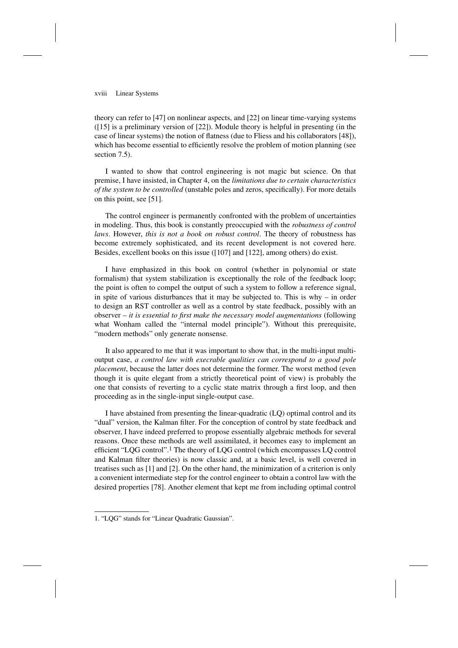#### xviii Linear Systems

theory can refer to [47] on nonlinear aspects, and [22] on linear time-varying systems ([15] is a preliminary version of [22]). Module theory is helpful in presenting (in the case of linear systems) the notion of flatness (due to Fliess and his collaborators [48]), which has become essential to efficiently resolve the problem of motion planning (see section 7.5).

I wanted to show that control engineering is not magic but science. On that premise, I have insisted, in Chapter 4, on the *limitations due to certain characteristics of the system to be controlled* (unstable poles and zeros, specifically). For more details on this point, see [51].

The control engineer is permanently confronted with the problem of uncertainties in modeling. Thus, this book is constantly preoccupied with the *robustness of control laws*. However, *this is not a book on robust control*. The theory of robustness has become extremely sophisticated, and its recent development is not covered here. Besides, excellent books on this issue ([107] and [122], among others) do exist.

I have emphasized in this book on control (whether in polynomial or state formalism) that system stabilization is exceptionally the role of the feedback loop; the point is often to compel the output of such a system to follow a reference signal, in spite of various disturbances that it may be subjected to. This is  $why - in order$ to design an RST controller as well as a control by state feedback, possibly with an observer – *it is essential to first make the necessary model augmentations* (following what Wonham called the "internal model principle"). Without this prerequisite, "modern methods" only generate nonsense.

It also appeared to me that it was important to show that, in the multi-input multioutput case, *a control law with execrable qualities can correspond to a good pole placement*, because the latter does not determine the former. The worst method (even though it is quite elegant from a strictly theoretical point of view) is probably the one that consists of reverting to a cyclic state matrix through a first loop, and then proceeding as in the single-input single-output case.

I have abstained from presenting the linear-quadratic (LQ) optimal control and its "dual" version, the Kalman filter. For the conception of control by state feedback and observer, I have indeed preferred to propose essentially algebraic methods for several reasons. Once these methods are well assimilated, it becomes easy to implement an efficient "LQG control".1 The theory of LQG control (which encompasses LQ control and Kalman filter theories) is now classic and, at a basic level, is well covered in treatises such as [1] and [2]. On the other hand, the minimization of a criterion is only a convenient intermediate step for the control engineer to obtain a control law with the desired properties [78]. Another element that kept me from including optimal control

<sup>1. &</sup>quot;LQG" stands for "Linear Quadratic Gaussian".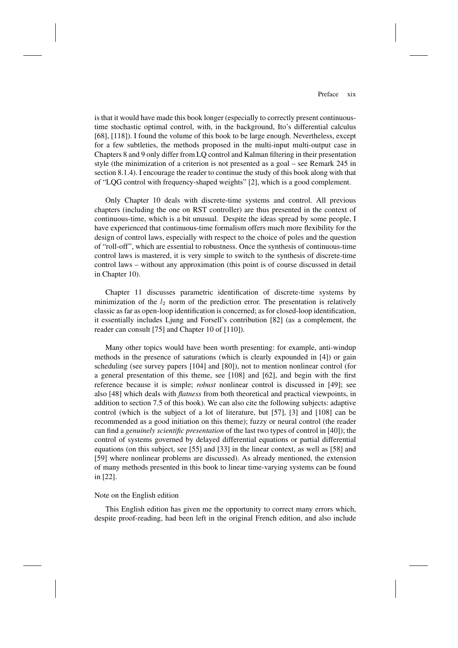is that it would have made this book longer (especially to correctly present continuoustime stochastic optimal control, with, in the background, Ito's differential calculus [68], [118]). I found the volume of this book to be large enough. Nevertheless, except for a few subtleties, the methods proposed in the multi-input multi-output case in Chapters 8 and 9 only differ from LQ control and Kalman filtering in their presentation style (the minimization of a criterion is not presented as a goal – see Remark 245 in section 8.1.4). I encourage the reader to continue the study of this book along with that of "LQG control with frequency-shaped weights" [2], which is a good complement.

Only Chapter 10 deals with discrete-time systems and control. All previous chapters (including the one on RST controller) are thus presented in the context of continuous-time, which is a bit unusual. Despite the ideas spread by some people, I have experienced that continuous-time formalism offers much more flexibility for the design of control laws, especially with respect to the choice of poles and the question of "roll-off", which are essential to robustness. Once the synthesis of continuous-time control laws is mastered, it is very simple to switch to the synthesis of discrete-time control laws – without any approximation (this point is of course discussed in detail in Chapter 10).

Chapter 11 discusses parametric identification of discrete-time systems by minimization of the  $l_2$  norm of the prediction error. The presentation is relatively classic as far as open-loop identification is concerned; as for closed-loop identification, it essentially includes Ljung and Forsell's contribution [82] (as a complement, the reader can consult [75] and Chapter 10 of [110]).

Many other topics would have been worth presenting: for example, anti-windup methods in the presence of saturations (which is clearly expounded in [4]) or gain scheduling (see survey papers [104] and [80]), not to mention nonlinear control (for a general presentation of this theme, see [108] and [62], and begin with the first reference because it is simple; *robust* nonlinear control is discussed in [49]; see also [48] which deals with *flatness* from both theoretical and practical viewpoints, in addition to section 7.5 of this book). We can also cite the following subjects: adaptive control (which is the subject of a lot of literature, but [57], [3] and [108] can be recommended as a good initiation on this theme); fuzzy or neural control (the reader can find a *genuinely scientific presentation* of the last two types of control in [40]); the control of systems governed by delayed differential equations or partial differential equations (on this subject, see [55] and [33] in the linear context, as well as [58] and [59] where nonlinear problems are discussed). As already mentioned, the extension of many methods presented in this book to linear time-varying systems can be found in [22].

### Note on the English edition

This English edition has given me the opportunity to correct many errors which, despite proof-reading, had been left in the original French edition, and also include